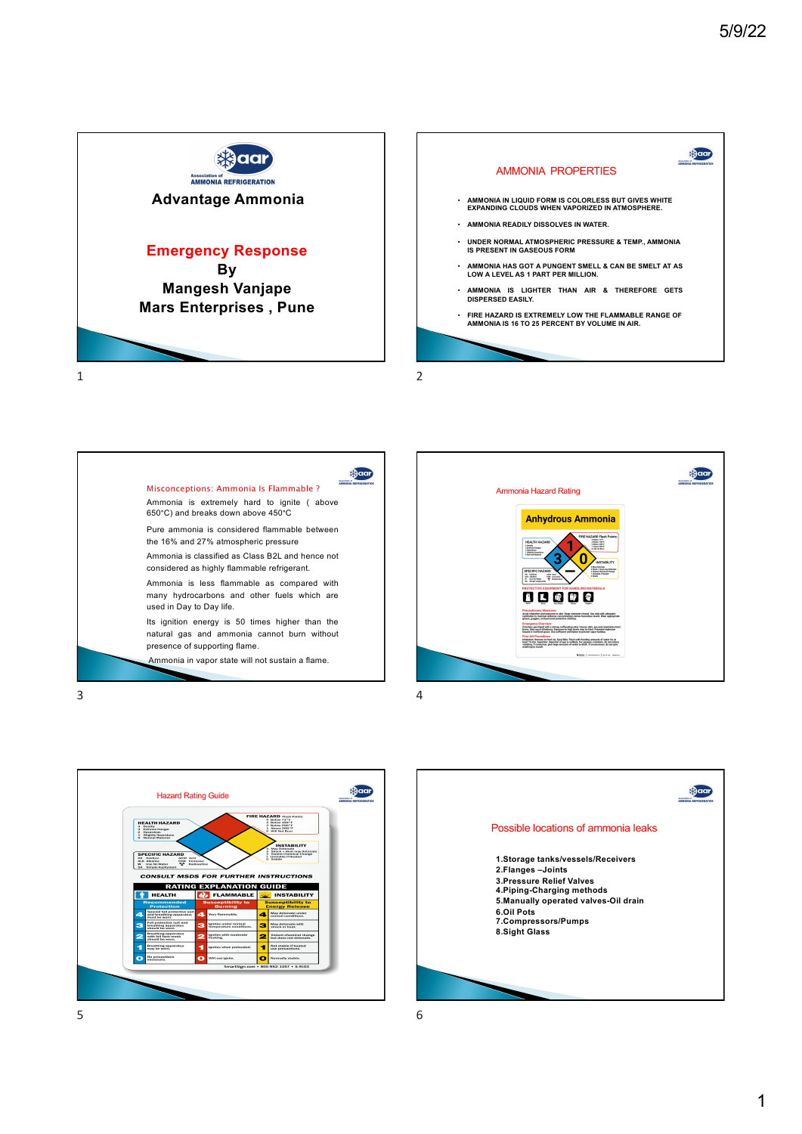









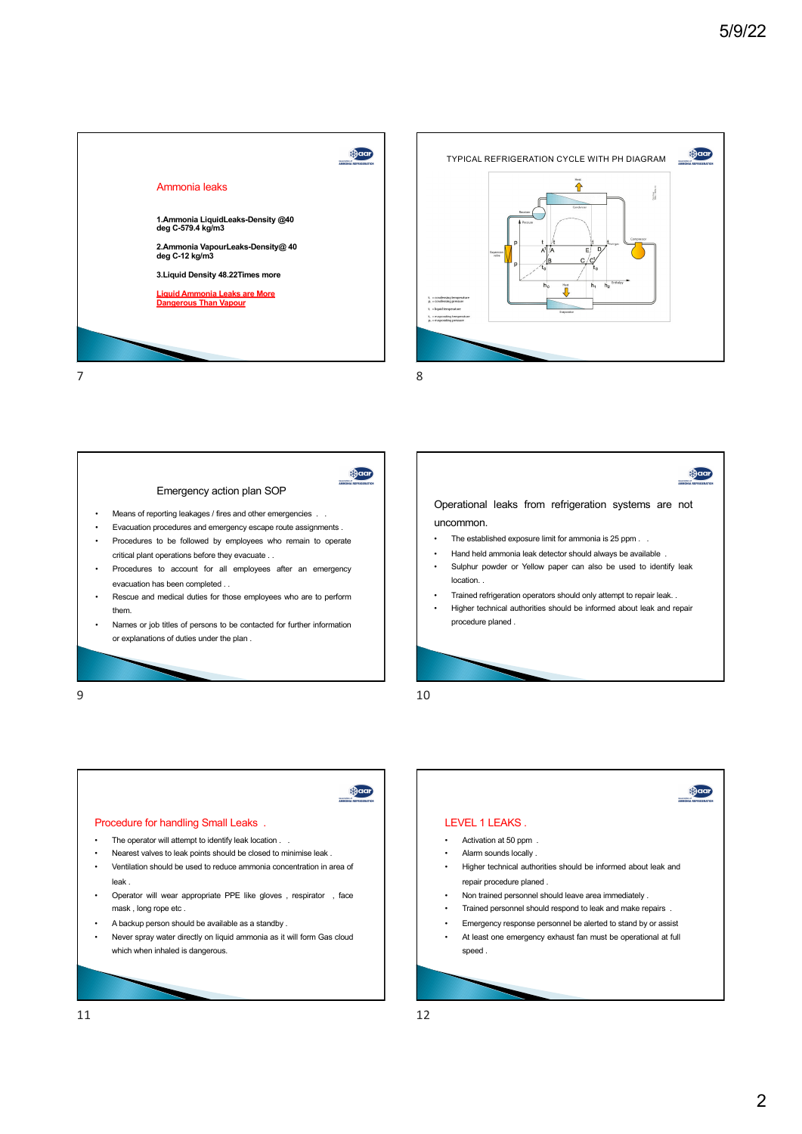







**OCCI**  $\overline{\phantom{a}}$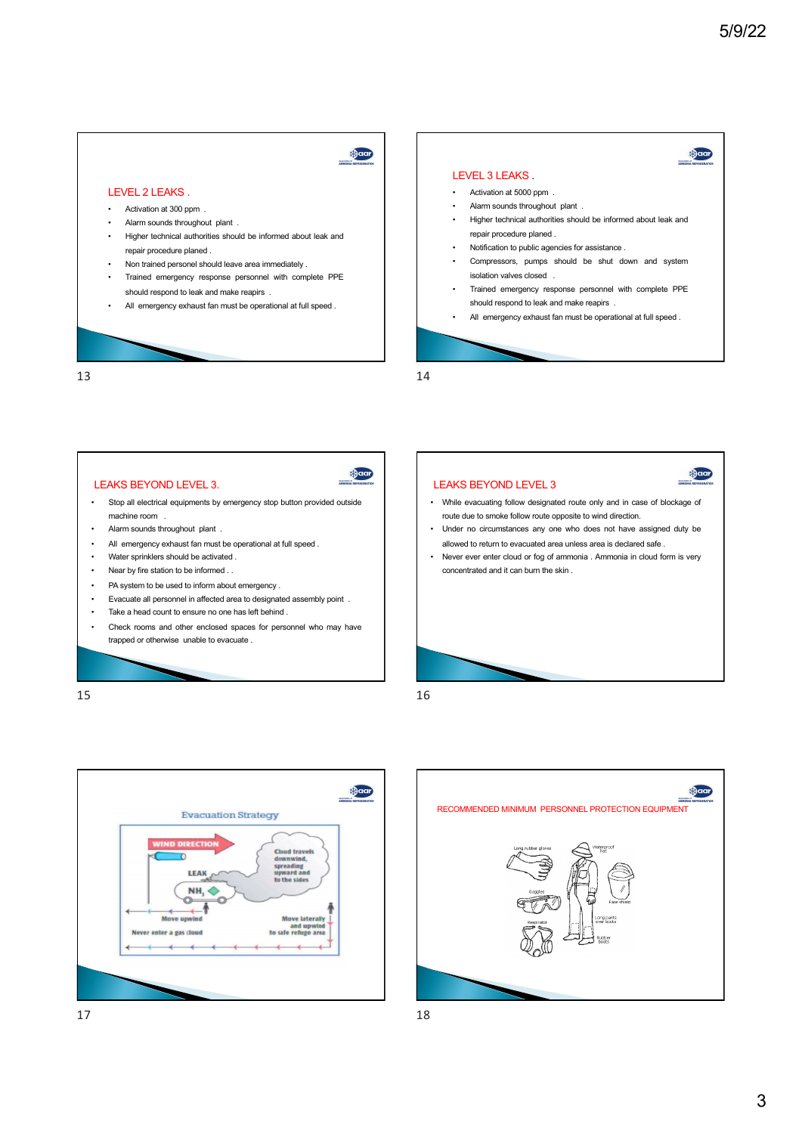**OCCI** 

Daar



13

15

## LEAKS BEYOND LEVEL 3.



- Stop all electrical equipments by emergency stop button provided outside machine room .
- Alarm sounds throughout plant .
- All emergency exhaust fan must be operational at full speed.
- Water sprinklers should be activated .
- Near by fire station to be informed . .
- PA system to be used to inform about emergency .
- Evacuate all personnel in affected area to designated assembly point .
- Take a head count to ensure no one has left behind .
- Check rooms and other enclosed spaces for personnel who may have trapped or otherwise unable to evacuate .



- While evacuating follow designated route only and in case of blockage of route due to smoke follow route opposite to wind direction.
- Under no circumstances any one who does not have assigned duty be allowed to return to evacuated area unless area is declared safe .
- Never ever enter cloud or fog of ammonia . Ammonia in cloud form is very concentrated and it can burn the skin .

16

14





3